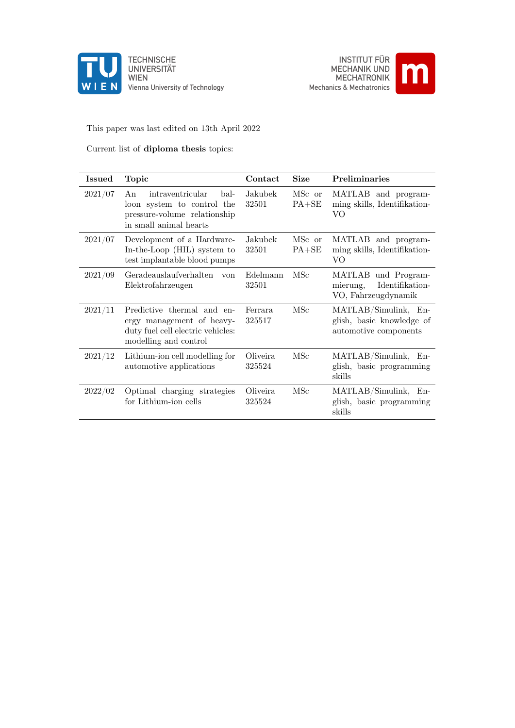

UNIVERSITÄT Vienna University of Technology



#### This paper was last edited on 13th April 2022

#### Current list of diploma thesis topics:

| <b>Issued</b> | Topic                                                                                                                  | Contact             | <b>Size</b>         | <b>Preliminaries</b>                                                       |
|---------------|------------------------------------------------------------------------------------------------------------------------|---------------------|---------------------|----------------------------------------------------------------------------|
| 2021/07       | intraventricular<br>An<br>bal-<br>loon system to control the<br>pressure-volume relationship<br>in small animal hearts | Jakubek<br>32501    | MSc or<br>$PA + SE$ | MATLAB and program-<br>ming skills, Identifikation-<br>VO                  |
| 2021/07       | Development of a Hardware-<br>In-the-Loop (HIL) system to<br>test implantable blood pumps                              | Jakubek<br>32501    | MSc or<br>$PA + SE$ | MATLAB and program-<br>ming skills, Identifikation-<br>VO                  |
| 2021/09       | Geradeauslaufverhalten von<br>Elektrofahrzeugen                                                                        | Edelmann<br>32501   | MSc                 | MATLAB und Program-<br>Identifikation-<br>mierung,<br>VO, Fahrzeugdynamik  |
| 2021/11       | Predictive thermal and en-<br>ergy management of heavy-<br>duty fuel cell electric vehicles:<br>modelling and control  | Ferrara<br>325517   | MSc                 | MATLAB/Simulink, En-<br>glish, basic knowledge of<br>automotive components |
| 2021/12       | Lithium-ion cell modelling for<br>automotive applications                                                              | Oliveira.<br>325524 | MSc                 | MATLAB/Simulink, En-<br>glish, basic programming<br>skills                 |
| 2022/02       | Optimal charging strategies<br>for Lithium-ion cells                                                                   | Oliveira<br>325524  | MSc                 | MATLAB/Simulink, En-<br>glish, basic programming<br>skills                 |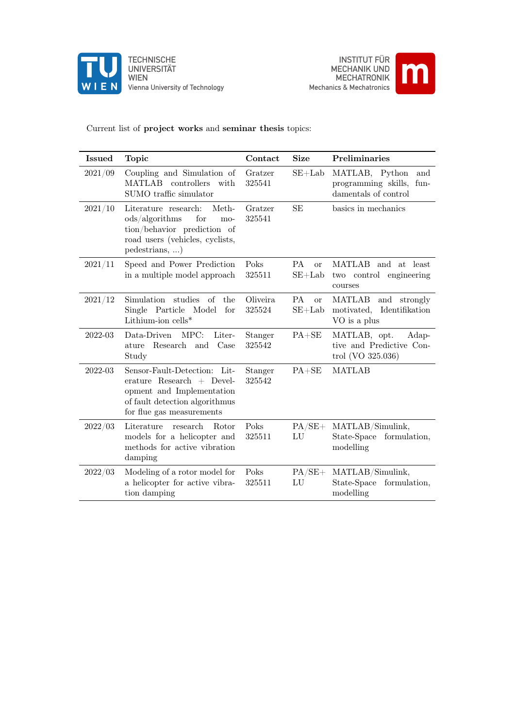



#### Current list of project works and seminar thesis topics:

| <b>Issued</b> | <b>Topic</b>                                                                                                                                            | Contact            | <b>Size</b>                       | Preliminaries                                                                 |
|---------------|---------------------------------------------------------------------------------------------------------------------------------------------------------|--------------------|-----------------------------------|-------------------------------------------------------------------------------|
| 2021/09       | Coupling and Simulation of<br>MATLAB controllers<br>with<br>SUMO traffic simulator                                                                      | Gratzer<br>325541  | $SE+Lab$                          | MATLAB, Python<br>and<br>programming skills, fun-<br>damentals of control     |
| 2021/10       | Meth-<br>Literature research:<br>ods/algorithms<br>for<br>mo-<br>tion/behavior prediction of<br>road users (vehicles, cyclists,<br>pedestrians, )       | Gratzer<br>325541  | <b>SE</b>                         | basics in mechanics                                                           |
| 2021/11       | Speed and Power Prediction<br>in a multiple model approach                                                                                              | Poks<br>325511     | PA<br>or<br>$SE+Lab$              | <b>MATLAB</b><br>and at least<br>two control<br>engineering<br>courses        |
| 2021/12       | studies of<br>Simulation<br>the<br>Single Particle Model<br>for<br>Lithium-ion $\text{cells}^*$                                                         | Oliveira<br>325524 | <b>PA</b><br>$\alpha$<br>$SE+Lab$ | <b>MATLAB</b><br>and strongly<br>Identifikation<br>motivated,<br>VO is a plus |
| 2022-03       | Data-Driven<br>MPC:<br>Liter-<br>Research and Case<br>ature<br>Study                                                                                    | Stanger<br>325542  | $PA + SE$                         | MATLAB, opt.<br>Adap-<br>tive and Predictive Con-<br>trol (VO $325.036$ )     |
| 2022-03       | Sensor-Fault-Detection: Lit-<br>erature Research $+$ Devel-<br>opment and Implementation<br>of fault detection algorithmus<br>for flue gas measurements | Stanger<br>325542  | $PA + SE$                         | <b>MATLAB</b>                                                                 |
| 2022/03       | Literature<br>research<br>Rotor<br>models for a helicopter and<br>methods for active vibration<br>damping                                               | Poks<br>325511     | $PA/SE+$<br>LU                    | MATLAB/Simulink,<br>State-Space<br>formulation,<br>modelling                  |
| 2022/03       | Modeling of a rotor model for<br>a helicopter for active vibra-<br>tion damping                                                                         | Poks<br>325511     | $PA/SE+$<br>LU                    | MATLAB/Simulink,<br>State-Space formulation,<br>modelling                     |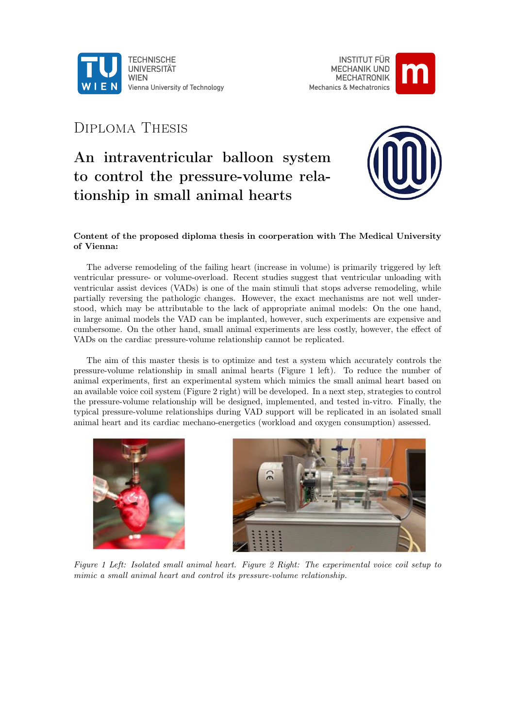

INSTITUT FÜR MECHANIK UND MECHATRONIK Mechanics & Mechatronics



### Diploma Thesis

# An intraventricular balloon system to control the pressure-volume relationship in small animal hearts



#### Content of the proposed diploma thesis in coorperation with The Medical University of Vienna:

The adverse remodeling of the failing heart (increase in volume) is primarily triggered by left ventricular pressure- or volume-overload. Recent studies suggest that ventricular unloading with ventricular assist devices (VADs) is one of the main stimuli that stops adverse remodeling, while partially reversing the pathologic changes. However, the exact mechanisms are not well understood, which may be attributable to the lack of appropriate animal models: On the one hand, in large animal models the VAD can be implanted, however, such experiments are expensive and cumbersome. On the other hand, small animal experiments are less costly, however, the effect of VADs on the cardiac pressure-volume relationship cannot be replicated.

The aim of this master thesis is to optimize and test a system which accurately controls the pressure-volume relationship in small animal hearts (Figure 1 left). To reduce the number of animal experiments, first an experimental system which mimics the small animal heart based on an available voice coil system (Figure 2 right) will be developed. In a next step, strategies to control the pressure-volume relationship will be designed, implemented, and tested in-vitro. Finally, the typical pressure-volume relationships during VAD support will be replicated in an isolated small animal heart and its cardiac mechano-energetics (workload and oxygen consumption) assessed.





Figure 1 Left: Isolated small animal heart. Figure 2 Right: The experimental voice coil setup to mimic a small animal heart and control its pressure-volume relationship.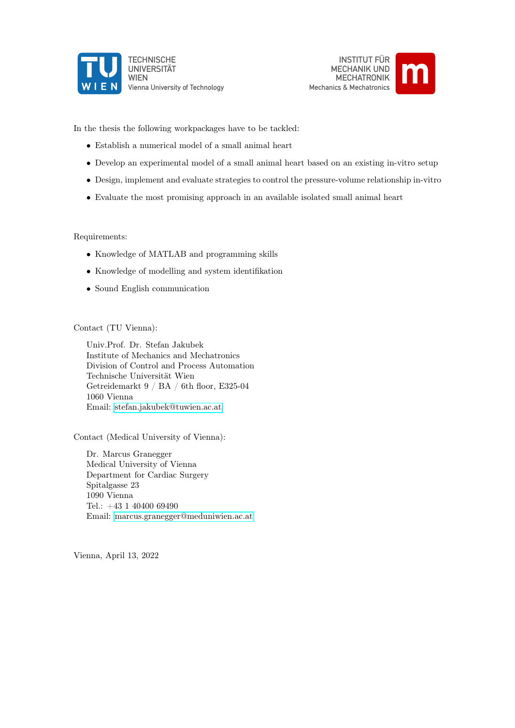





In the thesis the following workpackages have to be tackled:

- Establish a numerical model of a small animal heart
- Develop an experimental model of a small animal heart based on an existing in-vitro setup
- Design, implement and evaluate strategies to control the pressure-volume relationship in-vitro
- Evaluate the most promising approach in an available isolated small animal heart

Requirements:

- Knowledge of MATLAB and programming skills
- Knowledge of modelling and system identifikation
- Sound English communication

Contact (TU Vienna):

Univ.Prof. Dr. Stefan Jakubek Institute of Mechanics and Mechatronics Division of Control and Process Automation Technische Universität Wien Getreidemarkt 9 / BA / 6th floor, E325-04 1060 Vienna Email: [stefan.jakubek@tuwien.ac.at](mailto:stefan.jakubek@tuwien.ac.at)

Contact (Medical University of Vienna):

Dr. Marcus Granegger Medical University of Vienna Department for Cardiac Surgery Spitalgasse 23 1090 Vienna Tel.: +43 1 40400 69490 Email: [marcus.granegger@meduniwien.ac.at](mailto:marcus.granegger@meduniwien.ac.at)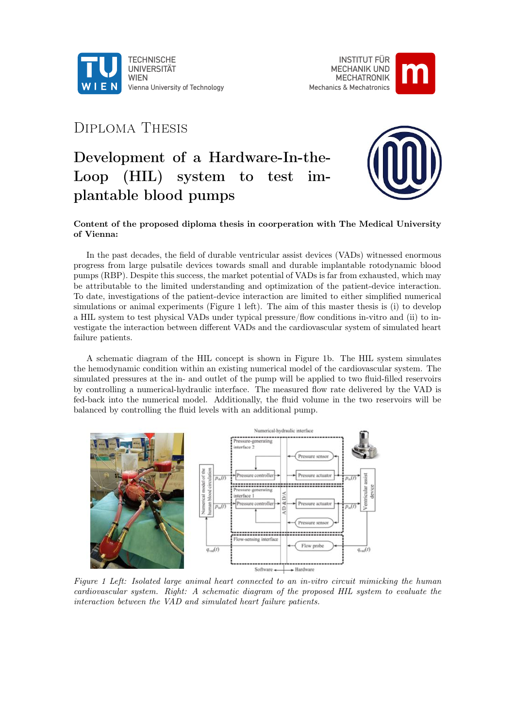



### Diploma Thesis

# Development of a Hardware-In-the-Loop (HIL) system to test implantable blood pumps



#### Content of the proposed diploma thesis in coorperation with The Medical University of Vienna:

In the past decades, the field of durable ventricular assist devices (VADs) witnessed enormous progress from large pulsatile devices towards small and durable implantable rotodynamic blood pumps (RBP). Despite this success, the market potential of VADs is far from exhausted, which may be attributable to the limited understanding and optimization of the patient-device interaction. To date, investigations of the patient-device interaction are limited to either simplified numerical simulations or animal experiments (Figure 1 left). The aim of this master thesis is (i) to develop a HIL system to test physical VADs under typical pressure/flow conditions in-vitro and (ii) to investigate the interaction between different VADs and the cardiovascular system of simulated heart failure patients.

A schematic diagram of the HIL concept is shown in Figure 1b. The HIL system simulates the hemodynamic condition within an existing numerical model of the cardiovascular system. The simulated pressures at the in- and outlet of the pump will be applied to two fluid-filled reservoirs by controlling a numerical-hydraulic interface. The measured flow rate delivered by the VAD is fed-back into the numerical model. Additionally, the fluid volume in the two reservoirs will be balanced by controlling the fluid levels with an additional pump.



Figure 1 Left: Isolated large animal heart connected to an in-vitro circuit mimicking the human cardiovascular system. Right: A schematic diagram of the proposed HIL system to evaluate the interaction between the VAD and simulated heart failure patients.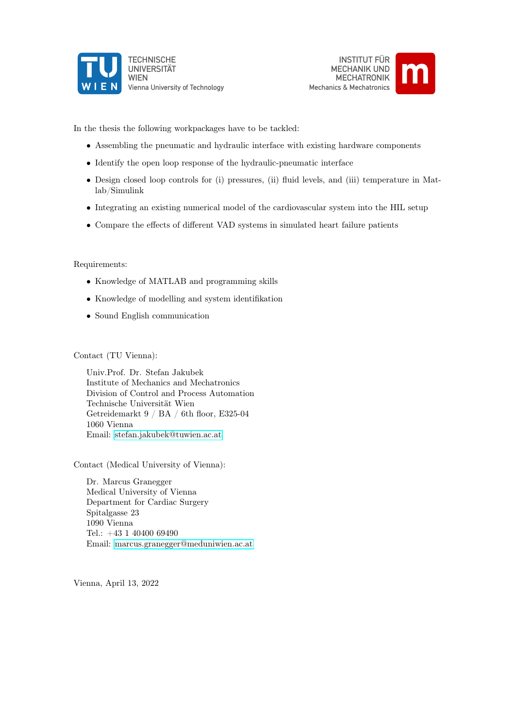





In the thesis the following workpackages have to be tackled:

- Assembling the pneumatic and hydraulic interface with existing hardware components
- Identify the open loop response of the hydraulic-pneumatic interface
- Design closed loop controls for (i) pressures, (ii) fluid levels, and (iii) temperature in Matlab/Simulink
- Integrating an existing numerical model of the cardiovascular system into the HIL setup
- Compare the effects of different VAD systems in simulated heart failure patients

#### Requirements:

- Knowledge of MATLAB and programming skills
- Knowledge of modelling and system identifikation
- Sound English communication

Contact (TU Vienna):

Univ.Prof. Dr. Stefan Jakubek Institute of Mechanics and Mechatronics Division of Control and Process Automation Technische Universität Wien Getreidemarkt 9 / BA / 6th floor, E325-04 1060 Vienna Email: [stefan.jakubek@tuwien.ac.at](mailto:stefan.jakubek@tuwien.ac.at)

Contact (Medical University of Vienna):

Dr. Marcus Granegger Medical University of Vienna Department for Cardiac Surgery Spitalgasse 23 1090 Vienna Tel.: +43 1 40400 69490 Email: [marcus.granegger@meduniwien.ac.at](mailto:marcus.granegger@meduniwien.ac.at)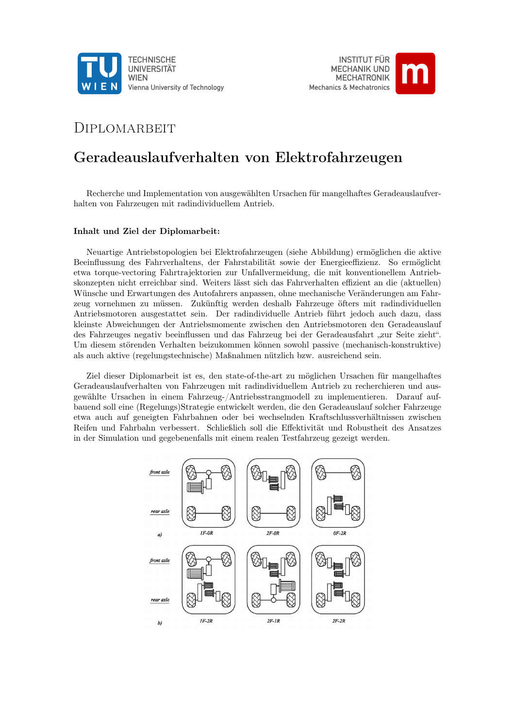



### DIPLOMARBEIT

### Geradeauslaufverhalten von Elektrofahrzeugen

Recherche und Implementation von ausgewählten Ursachen für mangelhaftes Geradeauslaufverhalten von Fahrzeugen mit radindividuellem Antrieb.

#### Inhalt und Ziel der Diplomarbeit:

Neuartige Antriebstopologien bei Elektrofahrzeugen (siehe Abbildung) ermöglichen die aktive Beeinflussung des Fahrverhaltens, der Fahrstabilität sowie der Energieeffizienz. So ermöglicht etwa torque-vectoring Fahrtrajektorien zur Unfallvermeidung, die mit konventionellem Antriebskonzepten nicht erreichbar sind. Weiters lässt sich das Fahrverhalten effizient an die (aktuellen) Wünsche und Erwartungen des Autofahrers anpassen, ohne mechanische Veränderungen am Fahrzeug vornehmen zu müssen. Zukünftig werden deshalb Fahrzeuge öfters mit radindividuellen Antriebsmotoren ausgestattet sein. Der radindividuelle Antrieb führt jedoch auch dazu, dass kleinste Abweichungen der Antriebsmomente zwischen den Antriebsmotoren den Geradeauslauf des Fahrzeuges negativ beeinflussen und das Fahrzeug bei der Geradeausfahrt "zur Seite zieht". Um diesem störenden Verhalten beizukommen können sowohl passive (mechanisch-konstruktive) als auch aktive (regelungstechnische) Maßnahmen nützlich bzw. ausreichend sein.

Ziel dieser Diplomarbeit ist es, den state-of-the-art zu möglichen Ursachen für mangelhaftes Geradeauslaufverhalten von Fahrzeugen mit radindividuellem Antrieb zu recherchieren und ausgewählte Ursachen in einem Fahrzeug-/Antriebsstrangmodell zu implementieren. Darauf aufbauend soll eine (Regelungs)Strategie entwickelt werden, die den Geradeauslauf solcher Fahrzeuge etwa auch auf geneigten Fahrbahnen oder bei wechselnden Kraftschlussverhältnissen zwischen Reifen und Fahrbahn verbessert. Schließlich soll die Effektivität und Robustheit des Ansatzes in der Simulation und gegebenenfalls mit einem realen Testfahrzeug gezeigt werden.

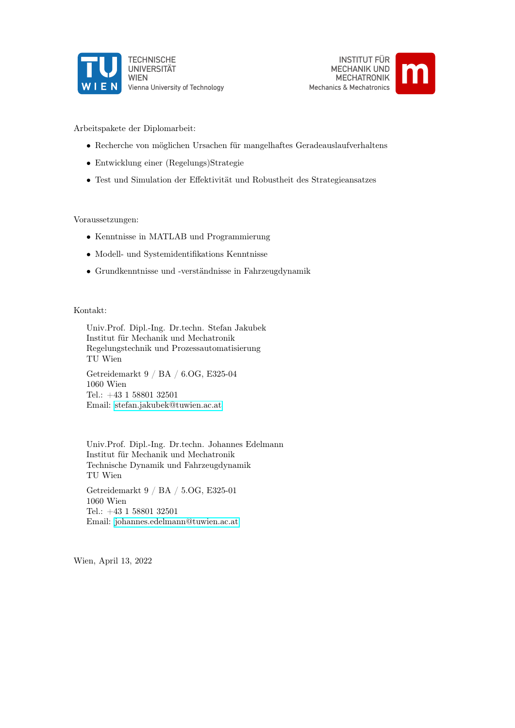





Arbeitspakete der Diplomarbeit:

- Recherche von möglichen Ursachen für mangelhaftes Geradeauslaufverhaltens
- Entwicklung einer (Regelungs)Strategie
- Test und Simulation der Effektivität und Robustheit des Strategieansatzes

#### Voraussetzungen:

- Kenntnisse in MATLAB und Programmierung
- Modell- und Systemidentifikations Kenntnisse
- Grundkenntnisse und -verständnisse in Fahrzeugdynamik

#### Kontakt:

Univ.Prof. Dipl.-Ing. Dr.techn. Stefan Jakubek Institut für Mechanik und Mechatronik Regelungstechnik und Prozessautomatisierung TU Wien Getreidemarkt 9 / BA / 6.OG, E325-04 1060 Wien Tel.: +43 1 58801 32501 Email: [stefan.jakubek@tuwien.ac.at](mailto:stefan.jakubek@tuwien.ac.at)

Univ.Prof. Dipl.-Ing. Dr.techn. Johannes Edelmann Institut für Mechanik und Mechatronik Technische Dynamik und Fahrzeugdynamik TU Wien Getreidemarkt 9 / BA / 5.OG, E325-01 1060 Wien Tel.: +43 1 58801 32501 Email: [johannes.edelmann@tuwien.ac.at](mailto:johannes.edelmann@tuwien.ac.at)

Wien, April 13, 2022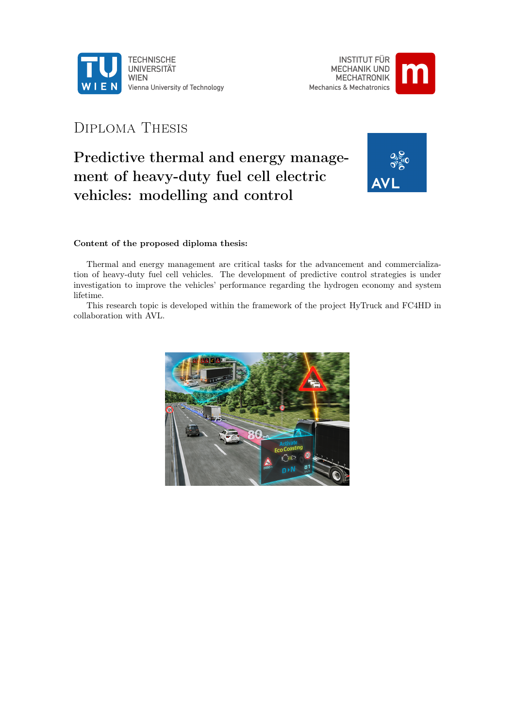



### Diploma Thesis

# Predictive thermal and energy management of heavy-duty fuel cell electric vehicles: modelling and control



#### Content of the proposed diploma thesis:

Thermal and energy management are critical tasks for the advancement and commercialization of heavy-duty fuel cell vehicles. The development of predictive control strategies is under investigation to improve the vehicles' performance regarding the hydrogen economy and system lifetime.

This research topic is developed within the framework of the project HyTruck and FC4HD in collaboration with AVL.

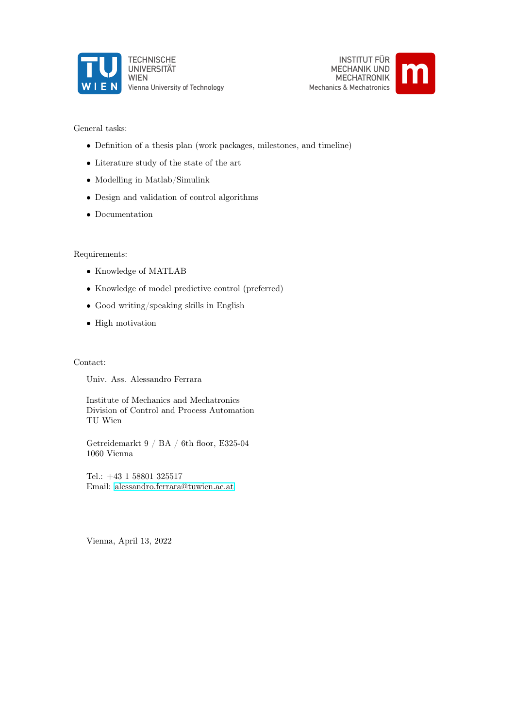



General tasks:

- Definition of a thesis plan (work packages, milestones, and timeline)
- $\bullet\,$  Literature study of the state of the art
- Modelling in Matlab/Simulink
- Design and validation of control algorithms
- Documentation

#### Requirements:

- Knowledge of MATLAB
- Knowledge of model predictive control (preferred)
- Good writing/speaking skills in English
- High motivation

#### Contact:

Univ. Ass. Alessandro Ferrara

Institute of Mechanics and Mechatronics Division of Control and Process Automation TU Wien

Getreidemarkt 9 / BA / 6th floor, E325-04 1060 Vienna

Tel.: +43 1 58801 325517 Email: [alessandro.ferrara@tuwien.ac.at](mailto:alessandro.ferrara@tuwien.ac.at)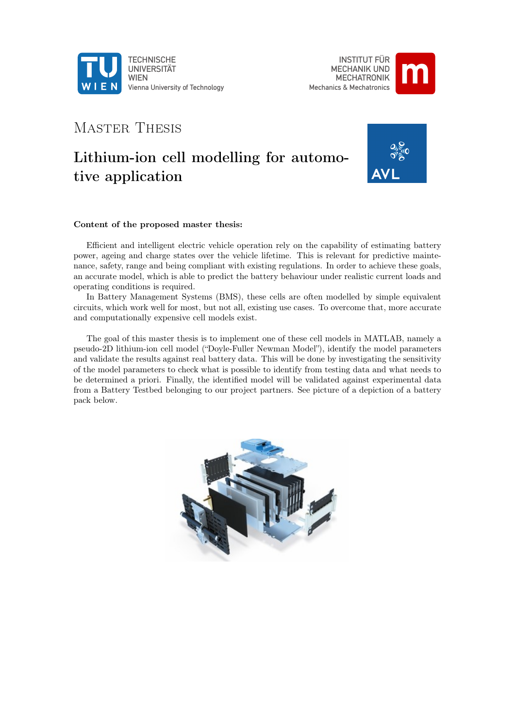

INSTITUT FÜR MECHANIK UND MECHATRONIK Mechanics & Mechatronics **m**

### MASTER THESIS

## Lithium-ion cell modelling for automotive application



#### Content of the proposed master thesis:

Efficient and intelligent electric vehicle operation rely on the capability of estimating battery power, ageing and charge states over the vehicle lifetime. This is relevant for predictive maintenance, safety, range and being compliant with existing regulations. In order to achieve these goals, an accurate model, which is able to predict the battery behaviour under realistic current loads and operating conditions is required.

In Battery Management Systems (BMS), these cells are often modelled by simple equivalent circuits, which work well for most, but not all, existing use cases. To overcome that, more accurate and computationally expensive cell models exist.

The goal of this master thesis is to implement one of these cell models in MATLAB, namely a pseudo-2D lithium-ion cell model ("Doyle-Fuller Newman Model"), identify the model parameters and validate the results against real battery data. This will be done by investigating the sensitivity of the model parameters to check what is possible to identify from testing data and what needs to be determined a priori. Finally, the identified model will be validated against experimental data from a Battery Testbed belonging to our project partners. See picture of a depiction of a battery pack below.

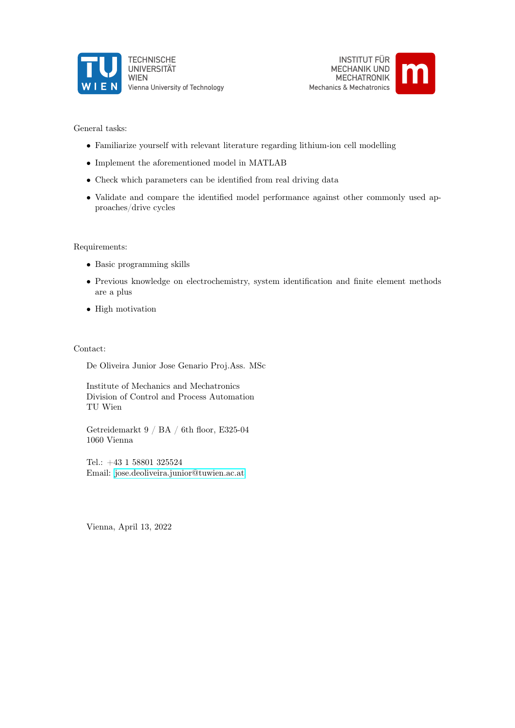



General tasks:

- Familiarize yourself with relevant literature regarding lithium-ion cell modelling
- Implement the aforementioned model in MATLAB
- Check which parameters can be identified from real driving data
- Validate and compare the identified model performance against other commonly used approaches/drive cycles

Requirements:

- Basic programming skills
- Previous knowledge on electrochemistry, system identification and finite element methods are a plus
- High motivation

Contact:

De Oliveira Junior Jose Genario Proj.Ass. MSc

Institute of Mechanics and Mechatronics Division of Control and Process Automation TU Wien

Getreidemarkt 9 / BA / 6th floor, E325-04 1060 Vienna

Tel.: +43 1 58801 325524 Email: [jose.deoliveira.junior@tuwien.ac.at](mailto:jose.deoliveira.junior@tuwien.ac.at)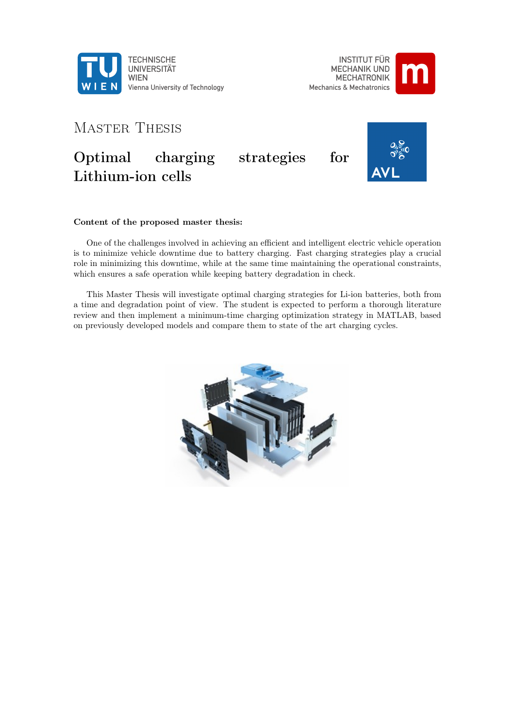

INSTITUT FÜR MECHANIK UND MECHATRONIK Mechanics & Mechatronics



# Master Thesis Optimal charging strategies for Lithium-ion cells

#### Content of the proposed master thesis:

One of the challenges involved in achieving an efficient and intelligent electric vehicle operation is to minimize vehicle downtime due to battery charging. Fast charging strategies play a crucial role in minimizing this downtime, while at the same time maintaining the operational constraints, which ensures a safe operation while keeping battery degradation in check.

This Master Thesis will investigate optimal charging strategies for Li-ion batteries, both from a time and degradation point of view. The student is expected to perform a thorough literature review and then implement a minimum-time charging optimization strategy in MATLAB, based on previously developed models and compare them to state of the art charging cycles.